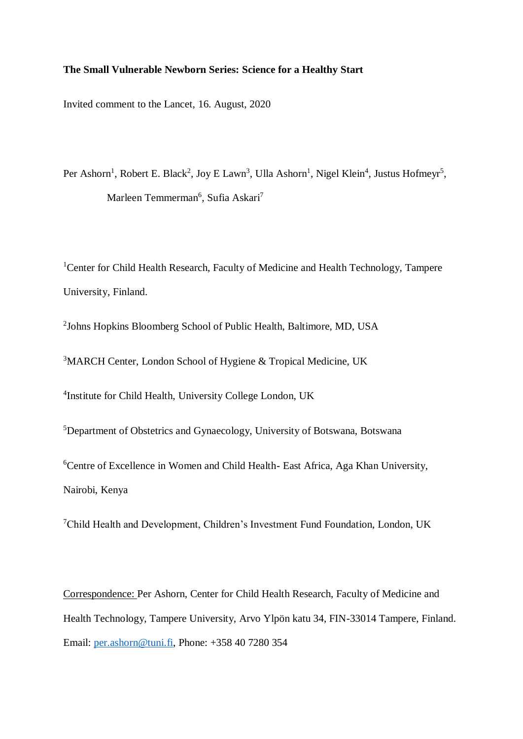## **The Small Vulnerable Newborn Series: Science for a Healthy Start**

Invited comment to the Lancet, 16. August, 2020

Per Ashorn<sup>1</sup>, Robert E. Black<sup>2</sup>, Joy E Lawn<sup>3</sup>, Ulla Ashorn<sup>1</sup>, Nigel Klein<sup>4</sup>, Justus Hofmeyr<sup>5</sup>, Marleen Temmerman<sup>6</sup>, Sufia Askari<sup>7</sup>

<sup>1</sup> Center for Child Health Research, Faculty of Medicine and Health Technology, Tampere University, Finland.

<sup>2</sup>Johns Hopkins Bloomberg School of Public Health, Baltimore, MD, USA

<sup>3</sup>MARCH Center, London School of Hygiene & Tropical Medicine, UK

4 Institute for Child Health, University College London, UK

<sup>5</sup>Department of Obstetrics and Gynaecology, University of Botswana, Botswana

<sup>6</sup>Centre of Excellence in Women and Child Health- East Africa, Aga Khan University, Nairobi, Kenya

<sup>7</sup>Child Health and Development, Children's Investment Fund Foundation, London, UK

Correspondence: Per Ashorn, Center for Child Health Research, Faculty of Medicine and Health Technology, Tampere University, Arvo Ylpön katu 34, FIN-33014 Tampere, Finland. Email: [per.ashorn@tuni.fi,](mailto:per.ashorn@tuni.fi) Phone: +358 40 7280 354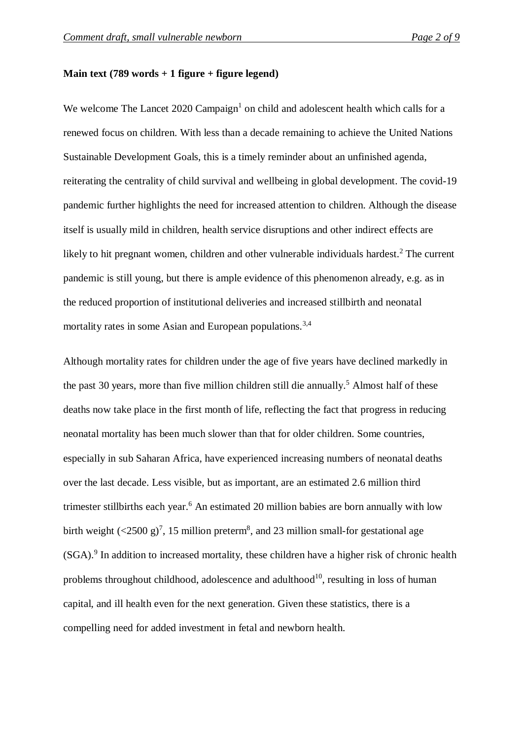## **Main text (789 words + 1 figure + figure legend)**

We welcome The Lancet  $2020$  Campaign<sup>1</sup> on child and adolescent health which calls for a renewed focus on children. With less than a decade remaining to achieve the United Nations Sustainable Development Goals, this is a timely reminder about an unfinished agenda, reiterating the centrality of child survival and wellbeing in global development. The covid-19 pandemic further highlights the need for increased attention to children. Although the disease itself is usually mild in children, health service disruptions and other indirect effects are likely to hit pregnant women, children and other vulnerable individuals hardest.<sup>2</sup> The current pandemic is still young, but there is ample evidence of this phenomenon already, e.g. as in the reduced proportion of institutional deliveries and increased stillbirth and neonatal mortality rates in some Asian and European populations.<sup>3,4</sup>

Although mortality rates for children under the age of five years have declined markedly in the past 30 years, more than five million children still die annually. <sup>5</sup> Almost half of these deaths now take place in the first month of life, reflecting the fact that progress in reducing neonatal mortality has been much slower than that for older children. Some countries, especially in sub Saharan Africa, have experienced increasing numbers of neonatal deaths over the last decade. Less visible, but as important, are an estimated 2.6 million third trimester stillbirths each year. <sup>6</sup> An estimated 20 million babies are born annually with low birth weight  $(\leq 2500 \text{ g})^7$ , 15 million preterm<sup>8</sup>, and 23 million small-for gestational age (SGA). 9 In addition to increased mortality, these children have a higher risk of chronic health problems throughout childhood, adolescence and adulthood<sup>10</sup>, resulting in loss of human capital, and ill health even for the next generation. Given these statistics, there is a compelling need for added investment in fetal and newborn health.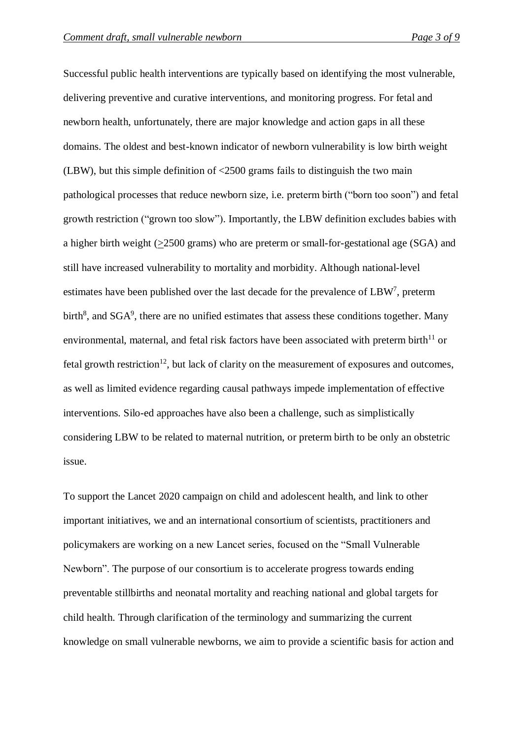Successful public health interventions are typically based on identifying the most vulnerable, delivering preventive and curative interventions, and monitoring progress. For fetal and newborn health, unfortunately, there are major knowledge and action gaps in all these domains. The oldest and best-known indicator of newborn vulnerability is low birth weight (LBW), but this simple definition of <2500 grams fails to distinguish the two main pathological processes that reduce newborn size, i.e. preterm birth ("born too soon") and fetal growth restriction ("grown too slow"). Importantly, the LBW definition excludes babies with a higher birth weight (>2500 grams) who are preterm or small-for-gestational age (SGA) and still have increased vulnerability to mortality and morbidity. Although national-level estimates have been published over the last decade for the prevalence of LBW<sup>7</sup>, preterm birth<sup>8</sup>, and  $SGA<sup>9</sup>$ , there are no unified estimates that assess these conditions together. Many environmental, maternal, and fetal risk factors have been associated with preterm birth $11$  or fetal growth restriction<sup>12</sup>, but lack of clarity on the measurement of exposures and outcomes, as well as limited evidence regarding causal pathways impede implementation of effective interventions. Silo-ed approaches have also been a challenge, such as simplistically considering LBW to be related to maternal nutrition, or preterm birth to be only an obstetric issue.

To support the Lancet 2020 campaign on child and adolescent health, and link to other important initiatives, we and an international consortium of scientists, practitioners and policymakers are working on a new Lancet series, focused on the "Small Vulnerable Newborn". The purpose of our consortium is to accelerate progress towards ending preventable stillbirths and neonatal mortality and reaching national and global targets for child health. Through clarification of the terminology and summarizing the current knowledge on small vulnerable newborns, we aim to provide a scientific basis for action and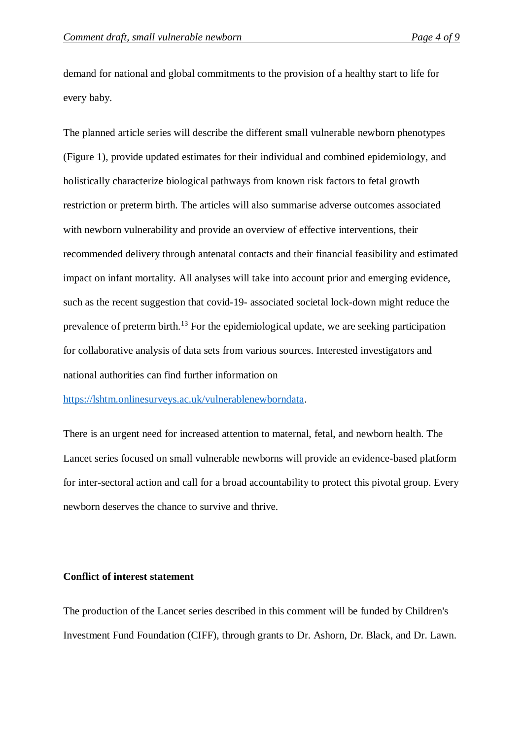demand for national and global commitments to the provision of a healthy start to life for every baby.

The planned article series will describe the different small vulnerable newborn phenotypes (Figure 1), provide updated estimates for their individual and combined epidemiology, and holistically characterize biological pathways from known risk factors to fetal growth restriction or preterm birth. The articles will also summarise adverse outcomes associated with newborn vulnerability and provide an overview of effective interventions, their recommended delivery through antenatal contacts and their financial feasibility and estimated impact on infant mortality. All analyses will take into account prior and emerging evidence, such as the recent suggestion that covid-19- associated societal lock-down might reduce the prevalence of preterm birth.<sup>13</sup> For the epidemiological update, we are seeking participation for collaborative analysis of data sets from various sources. Interested investigators and national authorities can find further information on

[https://lshtm.onlinesurveys.ac.uk/vulnerablenewborndata.](https://lshtm.onlinesurveys.ac.uk/vulnerablenewborndata)

There is an urgent need for increased attention to maternal, fetal, and newborn health. The Lancet series focused on small vulnerable newborns will provide an evidence-based platform for inter-sectoral action and call for a broad accountability to protect this pivotal group. Every newborn deserves the chance to survive and thrive.

## **Conflict of interest statement**

The production of the Lancet series described in this comment will be funded by Children's Investment Fund Foundation (CIFF), through grants to Dr. Ashorn, Dr. Black, and Dr. Lawn.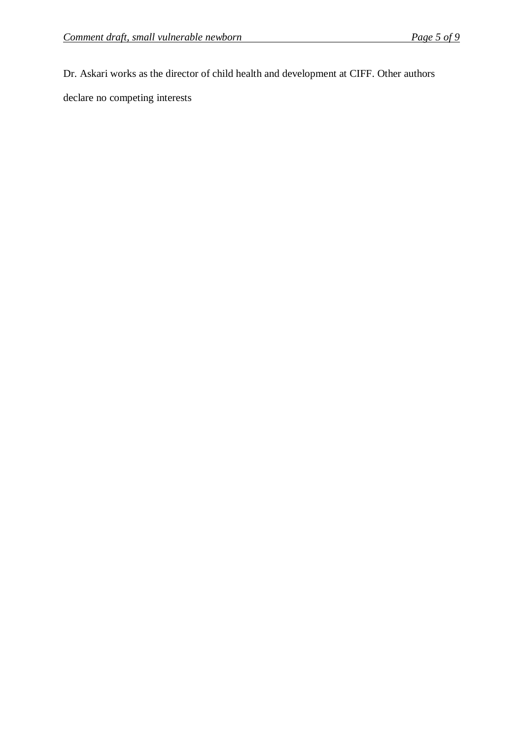Dr. Askari works as the director of child health and development at CIFF. Other authors

declare no competing interests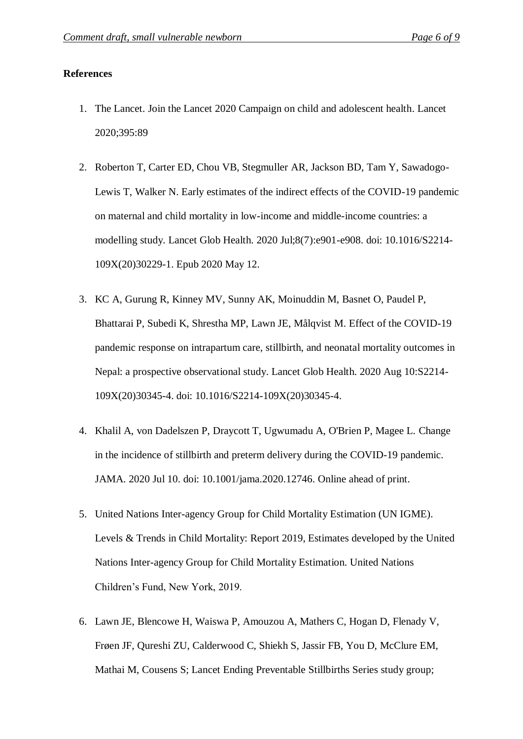## **References**

- 1. The Lancet. Join the Lancet 2020 Campaign on child and adolescent health. Lancet 2020;395:89
- 2. Roberton T, Carter ED, Chou VB, Stegmuller AR, Jackson BD, Tam Y, Sawadogo-Lewis T, Walker N. Early estimates of the indirect effects of the COVID-19 pandemic on maternal and child mortality in low-income and middle-income countries: a modelling study. Lancet Glob Health. 2020 Jul;8(7):e901-e908. doi: 10.1016/S2214- 109X(20)30229-1. Epub 2020 May 12.
- 3. KC A, Gurung R, Kinney MV, Sunny AK, Moinuddin M, Basnet O, Paudel P, Bhattarai P, Subedi K, Shrestha MP, Lawn JE, Målqvist M. Effect of the COVID-19 pandemic response on intrapartum care, stillbirth, and neonatal mortality outcomes in Nepal: a prospective observational study. Lancet Glob Health. 2020 Aug 10:S2214- 109X(20)30345-4. doi: 10.1016/S2214-109X(20)30345-4.
- 4. Khalil A, von Dadelszen P, Draycott T, Ugwumadu A, O'Brien P, Magee L. Change in the incidence of stillbirth and preterm delivery during the COVID-19 pandemic. JAMA. 2020 Jul 10. doi: 10.1001/jama.2020.12746. Online ahead of print.
- 5. United Nations Inter-agency Group for Child Mortality Estimation (UN IGME). Levels & Trends in Child Mortality: Report 2019, Estimates developed by the United Nations Inter-agency Group for Child Mortality Estimation. United Nations Children's Fund, New York, 2019.
- 6. Lawn JE, Blencowe H, Waiswa P, Amouzou A, Mathers C, Hogan D, Flenady V, Frøen JF, Qureshi ZU, Calderwood C, Shiekh S, Jassir FB, You D, McClure EM, Mathai M, Cousens S; Lancet Ending Preventable Stillbirths Series study group;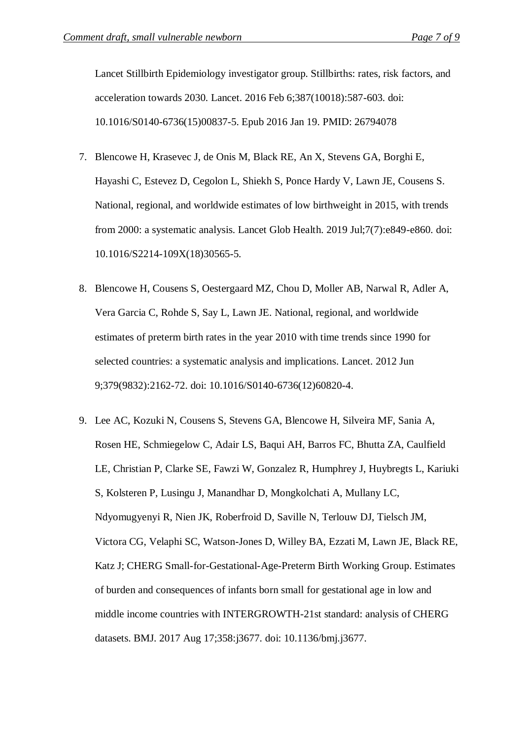Lancet Stillbirth Epidemiology investigator group. Stillbirths: rates, risk factors, and acceleration towards 2030. Lancet. 2016 Feb 6;387(10018):587-603. doi: 10.1016/S0140-6736(15)00837-5. Epub 2016 Jan 19. PMID: 26794078

- 7. Blencowe H, Krasevec J, de Onis M, Black RE, An X, Stevens GA, Borghi E, Hayashi C, Estevez D, Cegolon L, Shiekh S, Ponce Hardy V, Lawn JE, Cousens S. National, regional, and worldwide estimates of low birthweight in 2015, with trends from 2000: a systematic analysis. Lancet Glob Health. 2019 Jul;7(7):e849-e860. doi: 10.1016/S2214-109X(18)30565-5.
- 8. Blencowe H, Cousens S, Oestergaard MZ, Chou D, Moller AB, Narwal R, Adler A, Vera Garcia C, Rohde S, Say L, Lawn JE. National, regional, and worldwide estimates of preterm birth rates in the year 2010 with time trends since 1990 for selected countries: a systematic analysis and implications. Lancet. 2012 Jun 9;379(9832):2162-72. doi: 10.1016/S0140-6736(12)60820-4.
- 9. Lee AC, Kozuki N, Cousens S, Stevens GA, Blencowe H, Silveira MF, Sania A, Rosen HE, Schmiegelow C, Adair LS, Baqui AH, Barros FC, Bhutta ZA, Caulfield LE, Christian P, Clarke SE, Fawzi W, Gonzalez R, Humphrey J, Huybregts L, Kariuki S, Kolsteren P, Lusingu J, Manandhar D, Mongkolchati A, Mullany LC, Ndyomugyenyi R, Nien JK, Roberfroid D, Saville N, Terlouw DJ, Tielsch JM, Victora CG, Velaphi SC, Watson-Jones D, Willey BA, Ezzati M, Lawn JE, Black RE, Katz J; CHERG Small-for-Gestational-Age-Preterm Birth Working Group. Estimates of burden and consequences of infants born small for gestational age in low and middle income countries with INTERGROWTH-21st standard: analysis of CHERG datasets. BMJ. 2017 Aug 17;358:j3677. doi: 10.1136/bmj.j3677.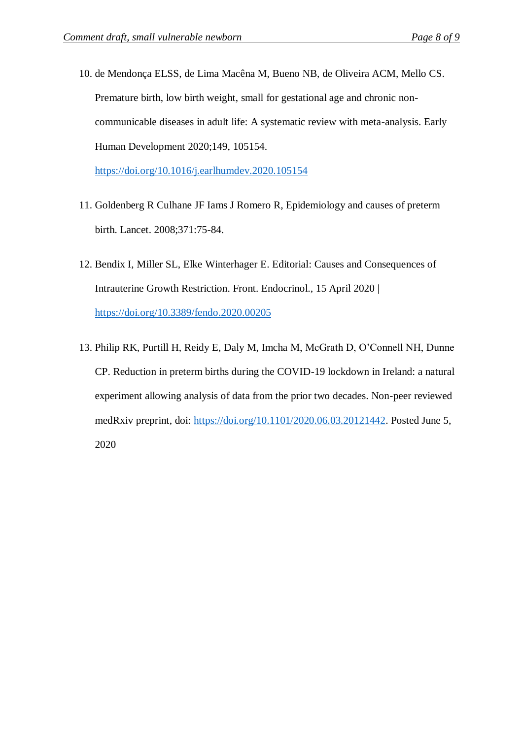10. de Mendonça ELSS, de Lima Macêna M, Bueno NB, de Oliveira ACM, Mello CS. Premature birth, low birth weight, small for gestational age and chronic noncommunicable diseases in adult life: A systematic review with meta-analysis. Early Human Development 2020;149, 105154.

<https://doi.org/10.1016/j.earlhumdev.2020.105154>

- 11. Goldenberg R Culhane JF Iams J Romero R, Epidemiology and causes of preterm birth. Lancet. 2008;371:75-84.
- 12. Bendix I, Miller SL, Elke Winterhager E. Editorial: Causes and Consequences of Intrauterine Growth Restriction. Front. Endocrinol., 15 April 2020 | <https://doi.org/10.3389/fendo.2020.00205>
- 13. Philip RK, Purtill H, Reidy E, Daly M, Imcha M, McGrath D, O'Connell NH, Dunne CP. Reduction in preterm births during the COVID-19 lockdown in Ireland: a natural experiment allowing analysis of data from the prior two decades. Non-peer reviewed medRxiv preprint, doi: [https://doi.org/10.1101/2020.06.03.20121442.](https://doi.org/10.1101/2020.06.03.20121442) Posted June 5, 2020